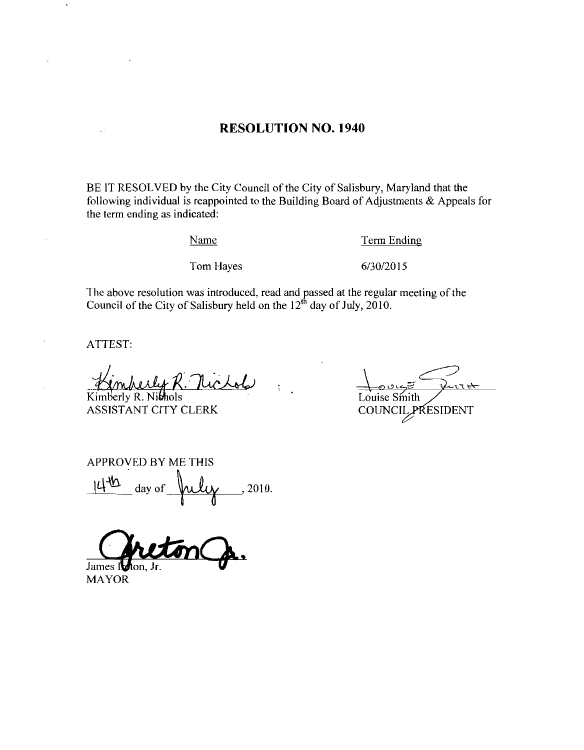#### RESOLUTION NO. 1940

BE IT RESOLVED by the City Council of the City of Salisbury, Maryland that the following individual is reappointed to the Building Board of Adjustments  $&$  Appeals for the term ending as indicated Aujusuner<br>Term Endi<br>6/30/2015

Name

Term Ending

Tom Hayes

The above resolution was introduced, read and passed at the regular meeting of the Council of the City of Salisbury held on the  $12<sup>th</sup>$  day of July, 2010.

ATTEST

Kimberly R. Nibhols ASSISTANT CITY CLERK

)<br>17 Louise Smith COUNCIL PRESIDENT

APPROVED BY ME THIS  $14^{40}$ day of  $\mu\mu\gamma$ , 2010.

James I

MAYOR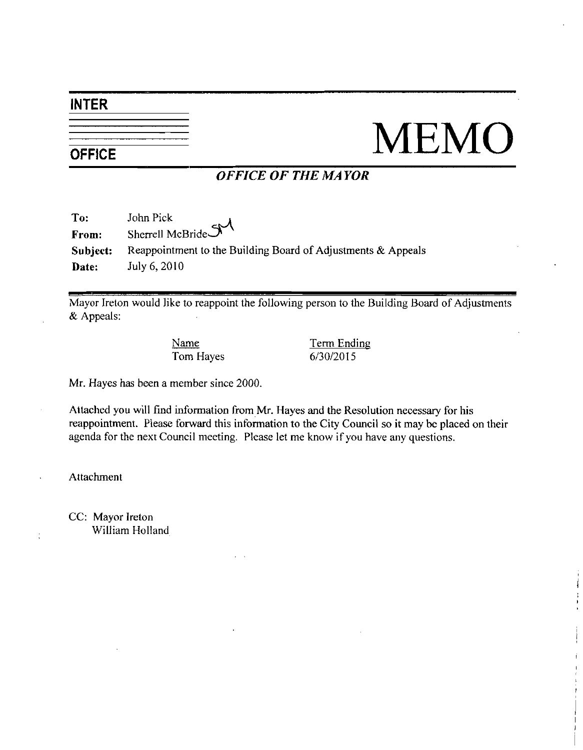#### INTER

## $\frac{1}{\frac{1}{\text{OFFICE}}}$  MEMO

#### OFFICE OF THE MAYOR

| To:      | John Pick                                                    |
|----------|--------------------------------------------------------------|
| From:    | Sherrell McBride S                                           |
| Subject: | Reappointment to the Building Board of Adjustments & Appeals |
| Date:    | July 6, 2010                                                 |

Mayor Ireton would like to reappoint the following person to the Building Board of Adjustments<br>
& Appeals:<br>
Name Term Ending<br>
Tom Hayes 6/30/2015 & Appeals:

Name Term Ending

Mr. Hayes has been a member since 2000.

Attached you will find information from Mr. Hayes and the Resolution necessary for his reappointment. Please forward this information to the City Council so it may be placed on their agenda for the next Council meeting. Please let me know if you have any questions.

Attachment

CC: Mayor Ireton William Holland